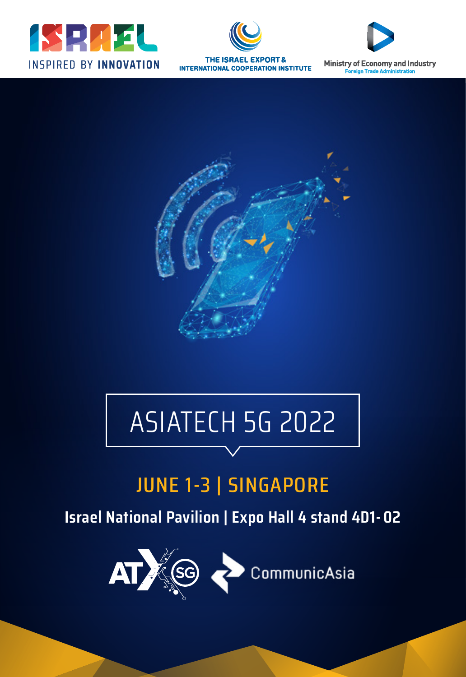





Ministry of Economy and Industry eign Tr



## ASIATECH 5G 2022

## JUNE 1-3 | SINGAPORE

**Israel National Pavilion | Expo Hall 4 stand 4D1 - 02**

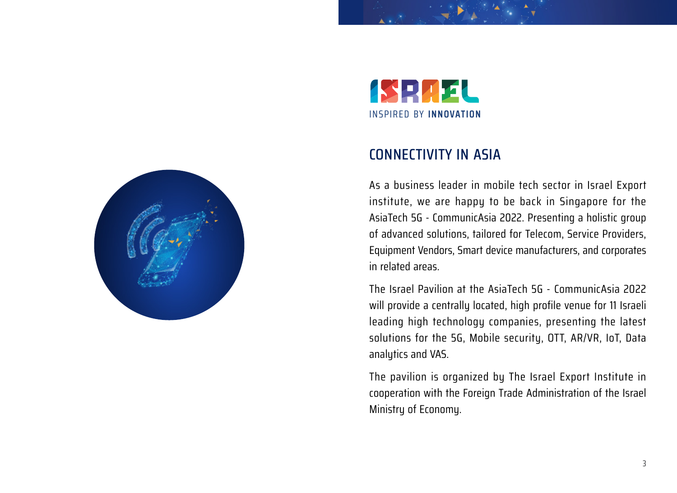



#### CONNECTIVITY IN ASIA

As a business leader in mobile tech sector in Israel Export institute, we are happy to be back in Singapore for the AsiaTech 5G - CommunicAsia 2022. Presenting a holistic group of advanced solutions, tailored for Telecom, Service Providers, Equipment Vendors, Smart device manufacturers, and corporates in related areas.

The Israel Pavilion at the AsiaTech 5G - CommunicAsia 2022 will provide a centrally located, high profile venue for 11 Israeli leading high technology companies, presenting the latest solutions for the 5G, Mobile security, OTT, AR/VR, IoT, Data analytics and VAS.

The pavilion is organized by The Israel Export Institute in cooperation with the Foreign Trade Administration of the Israel Ministry of Economy.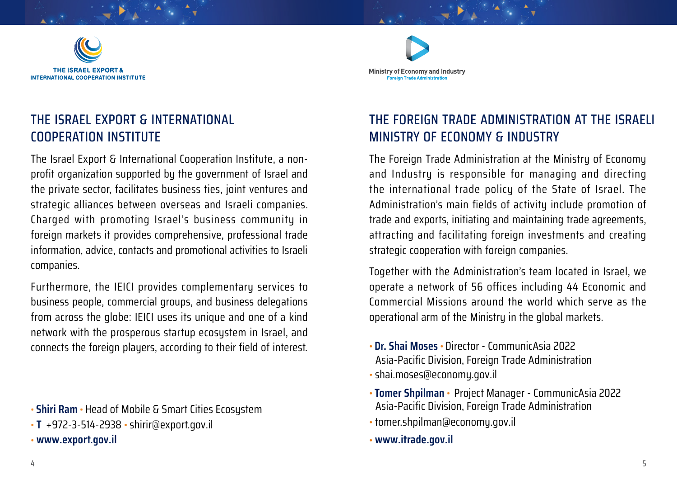

## THE ISRAEL EXPORT & INTERNATIONAL COOPERATION INSTITUTE

The Israel Export & International Cooperation Institute, a nonprofit organization supported by the government of Israel and the private sector, facilitates business ties, joint ventures and strategic alliances between overseas and Israeli companies. Charged with promoting Israel's business community in foreign markets it provides comprehensive, professional trade information, advice, contacts and promotional activities to Israeli companies.

Furthermore, the IEICI provides complementary services to business people, commercial groups, and business delegations from across the globe: IEICI uses its unique and one of a kind network with the prosperous startup ecosystem in Israel, and connects the foreign players, according to their field of interest.

• **Shiri Ram** • Head of Mobile & Smart Cities Ecosystem

• **T** +972-3-514-2938 • shirir@export.gov.il

• **[www.export.gov.il](https://www.export.gov.il/en)**



## THE FOREIGN TRADE ADMINISTRATION AT THE ISRAELI MINISTRY OF ECONOMY & INDUSTRY

The Foreign Trade Administration at the Ministry of Economy and Industry is responsible for managing and directing the international trade policy of the State of Israel. The Administration's main fields of activity include promotion of trade and exports, initiating and maintaining trade agreements, attracting and facilitating foreign investments and creating strategic cooperation with foreign companies.

Together with the Administration's team located in Israel, we operate a network of 56 offices including 44 Economic and Commercial Missions around the world which serve as the operational arm of the Ministry in the global markets.

- **Dr. Shai Moses** Director CommunicAsia 2022 Asia-Pacific Division, Foreign Trade Administration
- shai.moses@economy.gov.il
- **Tomer Shpilman** Project Manager CommunicAsia 2022 Asia-Pacific Division, Foreign Trade Administration
- tomer.shpilman@economy.gov.il
- **[www.](https://itrade.gov.il/)itrade.gov.il**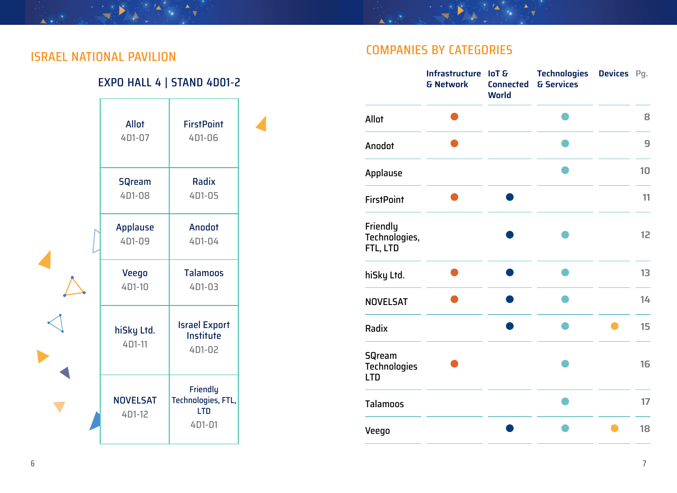$\rightarrow$ 

#### EXPO HALL 4 | STAND 4D01-2



## COMPANIES BY CATEGORIES ISRAEL NATIONAL PAVILION

 $\overline{\phantom{a}}$ 

|                                             | Infrastructure<br>& Network | loT &<br><b>Connected</b><br><b>World</b> | <b>Technologies</b><br>& Services | Devices Pq. |    |
|---------------------------------------------|-----------------------------|-------------------------------------------|-----------------------------------|-------------|----|
| Allot                                       |                             |                                           |                                   |             | 8  |
| Anodot                                      |                             |                                           |                                   |             | 9  |
| Applause                                    |                             |                                           |                                   |             | 10 |
| <b>FirstPoint</b>                           |                             |                                           |                                   |             | 11 |
| Friendly<br>Technologies,<br>FTL, LTD       |                             |                                           |                                   |             | 12 |
| hiSky Ltd.                                  |                             |                                           |                                   |             | 13 |
| <b>NOVELSAT</b>                             |                             |                                           |                                   |             | 14 |
| Radix                                       |                             |                                           |                                   |             | 15 |
| <b>SQream</b><br>Technologies<br><b>LTD</b> |                             |                                           |                                   |             | 16 |
| <b>Talamoos</b>                             |                             |                                           |                                   |             | 17 |
| Veego                                       |                             |                                           |                                   |             | 18 |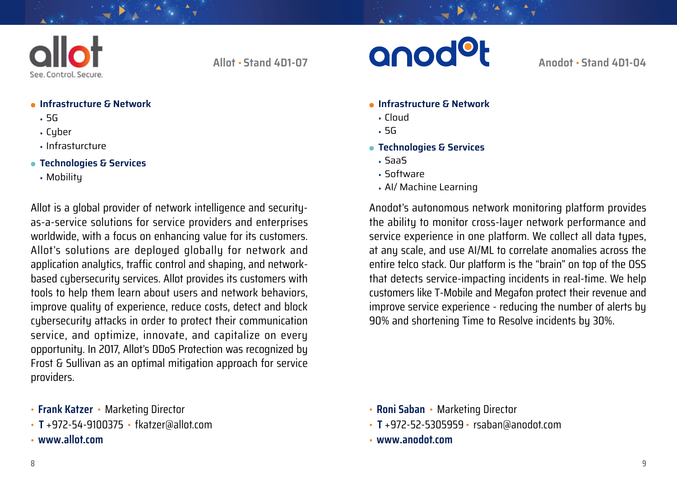

<span id="page-4-1"></span>**Allot** • **Stand 4D1-07**

#### **Infrastructure & Network**

- **•** 5G
- **•** Cyber
- **•** Infrasturcture
- **Technologies & Services**
	- **•** Mobility

Allot is a global provider of network intelligence and securityas-a-service solutions for service providers and enterprises worldwide, with a focus on enhancing value for its customers. Allot's solutions are deployed globally for network and application analytics, traffic control and shaping, and networkbased cybersecurity services. Allot provides its customers with tools to help them learn about users and network behaviors, improve quality of experience, reduce costs, detect and block cybersecurity attacks in order to protect their communication service, and optimize, innovate, and capitalize on every opportunity. In 2017, Allot's DDoS Protection was recognized by Frost & Sullivan as an optimal mitigation approach for service providers.

- **Frank Katzer**  Marketing Director
- **T** +972-54-9100375 fkatzer@allot.com
- **www.allot.com**



<span id="page-4-0"></span>**Anodot** • **Stand 4D1-04**

- **Infrastructure & Network**
	- **•** Cloud
	- **•** 5G
- **Technologies & Services**
	- **•** SaaS
	- **•** Software
	- **•** AI/ Machine Learning

Anodot's autonomous network monitoring platform provides the ability to monitor cross-layer network performance and service experience in one platform. We collect all data types, at any scale, and use AI/ML to correlate anomalies across the entire telco stack. Our platform is the "brain" on top of the OSS that detects service-impacting incidents in real-time. We help customers like T-Mobile and Megafon protect their revenue and improve service experience - reducing the number of alerts by 90% and shortening Time to Resolve incidents by 30%.

- **Roni Saban** Marketing Director
- **T** +972-52-5305959 rsaban@anodot.com
- **[www.anodot.com](http://www.anodot.com)**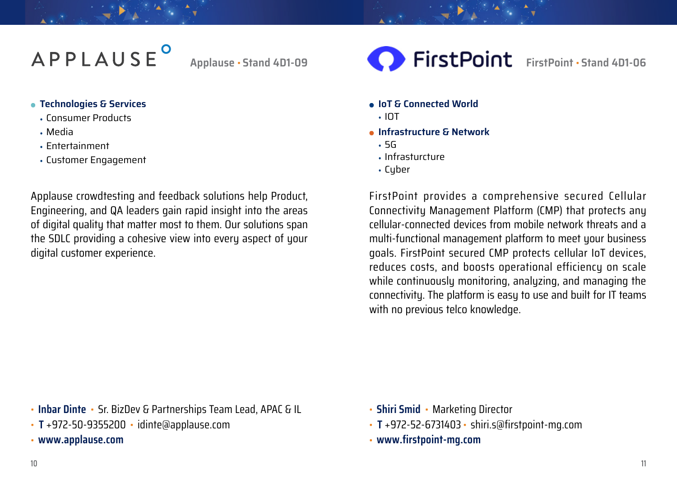# APPLAUSE<sup>o</sup>

<span id="page-5-0"></span>**Applause** • **Stand 4D1-09**

#### **Technologies & Services**

- **•** Consumer Products
- **•** Media
- **•** Entertainment
- **•** Customer Engagement

Applause crowdtesting and feedback solutions help Product, Engineering, and QA leaders gain rapid insight into the areas of digital quality that matter most to them. Our solutions span the SDLC providing a cohesive view into every aspect of your digital customer experience.

<span id="page-5-1"></span>**FirstPoint** FirstPoint · Stand 4D1-06

- **IoT & Connected World**
- **•** IOT
- **Infrastructure & Network**
- **•** 5G
- **•** Infrasturcture
- **•** Cyber

FirstPoint provides a comprehensive secured Cellular Connectivity Management Platform (CMP) that protects any cellular-connected devices from mobile network threats and a multi-functional management platform to meet your business goals. FirstPoint secured CMP protects cellular IoT devices, reduces costs, and boosts operational efficiency on scale while continuously monitoring, analyzing, and managing the connectivity. The platform is easy to use and built for IT teams with no previous telco knowledge.

• **Inbar Dinte** • Sr. BizDev & Partnerships Team Lead, APAC & IL

- **T** +972-50-9355200 idinte@applause.com
- **www.applause.com**
- **Shiri Smid** Marketing Director
- **T** +972-52-6731403 shiri.s@firstpoint-mg.com
- **[www.firstpoint-mg.com](https://www.firstpoint-mg.com/)**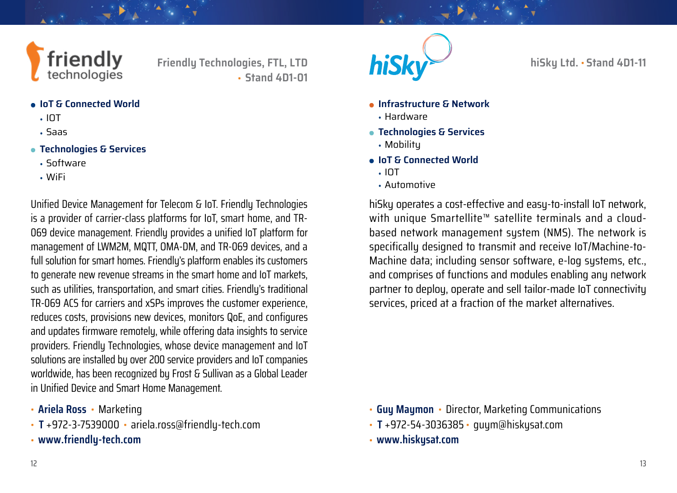

<span id="page-6-1"></span>**Friendly Technologies, FTL, LTD** • **Stand 4D1-01**

- **IoT & Connected World**
	- **•** IOT
	- **•** Saas
- **Technologies & Services**
	- **•** Software
	- **•** WiFi

Unified Device Management for Telecom & IoT. Friendly Technologies is a provider of carrier-class platforms for IoT, smart home, and TR-069 device management. Friendly provides a unified IoT platform for management of LWM2M, MQTT, OMA-DM, and TR-069 devices, and a full solution for smart homes. Friendly's platform enables its customers to generate new revenue streams in the smart home and IoT markets, such as utilities, transportation, and smart cities. Friendly's traditional TR-069 ACS for carriers and xSPs improves the customer experience, reduces costs, provisions new devices, monitors QoE, and configures and updates firmware remotely, while offering data insights to service providers. Friendly Technologies, whose device management and IoT solutions are installed by over 200 service providers and IoT companies worldwide, has been recognized by Frost & Sullivan as a Global Leader in Unified Device and Smart Home Management.

- **Ariela Ross** Marketing
- **T** +972-3-7539000 ariela.ross@friendly-tech.com
- **[www.friendly-tech.com](https://www.friendly-tech.com?utm_campaign=ATxS22&utm_source=iei)**



<span id="page-6-0"></span>**hiSky Ltd.** • **Stand 4D1-11**

- **Infrastructure & Network**
	- **•** Hardware
- **Technologies & Services**
	- **•** Mobility
- **IoT & Connected World**
	- **•** IOT
	- **•** Automotive

hiSky operates a cost-effective and easy-to-install IoT network, with unique Smartellite™ satellite terminals and a cloudbased network management system (NMS). The network is specifically designed to transmit and receive IoT/Machine-to-Machine data; including sensor software, e-log systems, etc., and comprises of functions and modules enabling any network partner to deploy, operate and sell tailor-made IoT connectivity services, priced at a fraction of the market alternatives.

- **Guy Maymon** Director, Marketing Communications
- **T** +972-54-3036385 guym@hiskysat.com
- **[www.hiskysat.com](https://www.hiskysat.com/)**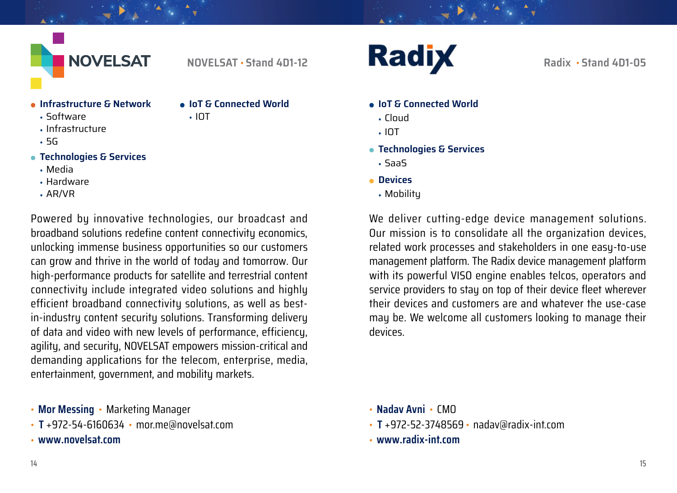

<span id="page-7-0"></span>**NOVELSAT** • **Stand 4D1-12**

**IoT & Connected World**

**•** IOT

#### **Infrastructure & Network**

**•** Software

- **•** Infrastructure
- **•** 5G
- **Technologies & Services**
	- **•** Media
	- **•** Hardware
	- **•** AR/VR

Powered by innovative technologies, our broadcast and broadband solutions redefine content connectivity economics, unlocking immense business opportunities so our customers can grow and thrive in the world of today and tomorrow. Our high-performance products for satellite and terrestrial content connectivity include integrated video solutions and highly efficient broadband connectivity solutions, as well as bestin-industry content security solutions. Transforming delivery of data and video with new levels of performance, efficiency, agility, and security, NOVELSAT empowers mission-critical and demanding applications for the telecom, enterprise, media, entertainment, government, and mobility markets.

- **Mor Messing** Marketing Manager
- **T** +972-54-6160634 mor.me@novelsat.com
- **www.[novelsat.com](https://novelsat.com/)**

**Radix** 

<span id="page-7-1"></span>**Radix** • **Stand 4D1-05**

- **IoT & Connected World**
	- **•** Cloud
	- **•** IOT
- **Technologies & Services**
- **•** SaaS
- **Devices**
	- **•** Mobility

We deliver cutting-edge device management solutions. Our mission is to consolidate all the organization devices, related work processes and stakeholders in one easy-to-use management platform. The Radix device management platform with its powerful VISO engine enables telcos, operators and service providers to stay on top of their device fleet wherever their devices and customers are and whatever the use-case may be. We welcome all customers looking to manage their devices.

- **Nadav Avni** CMO
- **T** +972-52-3748569 nadav@radix-int.com
- **[www.radix-int.com](http://www.radix-int.com)**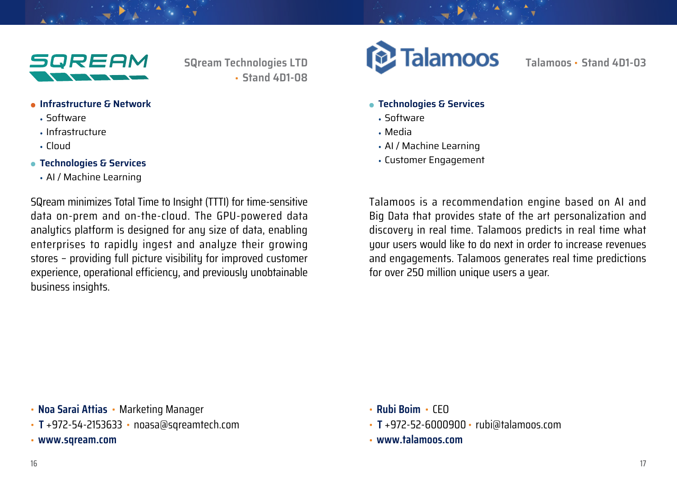

<span id="page-8-1"></span>**SQream Technologies LTD** • **Stand 4D1-08**

- **Infrastructure & Network**
	- **•** Software
	- **•** Infrastructure
	- **•** Cloud
- **Technologies & Services**
	- **•** AI / Machine Learning

SQream minimizes Total Time to Insight (TTTI) for time-sensitive data on-prem and on-the-cloud. The GPU-powered data analytics platform is designed for any size of data, enabling enterprises to rapidly ingest and analyze their growing stores – providing full picture visibility for improved customer experience, operational efficiency, and previously unobtainable business insights.



<span id="page-8-0"></span>**Talamoos** • **Stand 4D1-03**

- **Technologies & Services**
	- **•** Software
	- **•** Media
	- **•** AI / Machine Learning
	- **•** Customer Engagement

Talamoos is a recommendation engine based on AI and Big Data that provides state of the art personalization and discovery in real time. Talamoos predicts in real time what your users would like to do next in order to increase revenues and engagements. Talamoos generates real time predictions for over 250 million unique users a year.

- **Noa Sarai Attias** Marketing Manager
- **T** +972-54-2153633 noasa@sqreamtech.com
- **[www.sqream.com](https://sqream.com/company/about-sqream/)**
- **Rubi Boim** CEO
- **T** +972-52-6000900 rubi@talamoos.com
- **[www.talamoos.com](http://www.talamoos.com)**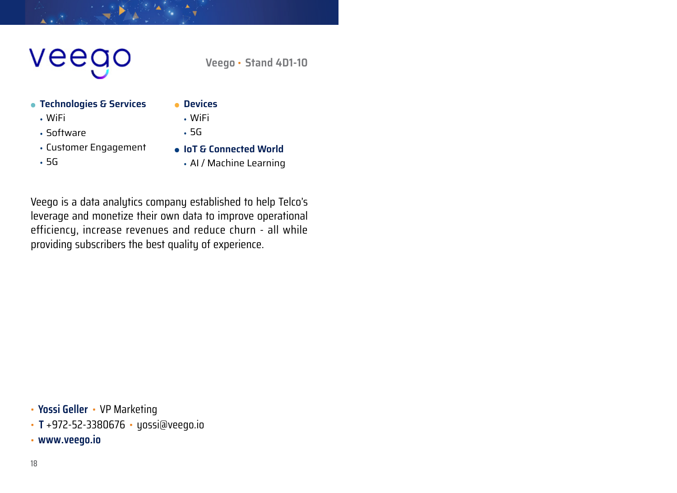# veego

<span id="page-9-0"></span>**Veego** • **Stand 4D1-10**

#### **Technologies & Services**

- **•** WiFi
- **•** Software
- **•** Customer Engagement
- **•** 5G
- **Devices**
	- **•** WiFi
	- **•** 5G
	- **IoT & Connected World**
		- **•** AI / Machine Learning

Veego is a data analytics company established to help Telco's leverage and monetize their own data to improve operational efficiency, increase revenues and reduce churn - all while providing subscribers the best quality of experience.

• **Yossi Geller** • VP Marketing

- **T** +972-52-3380676 yossi@veego.io
- **[www.veego.io](http://www.veego.io)**